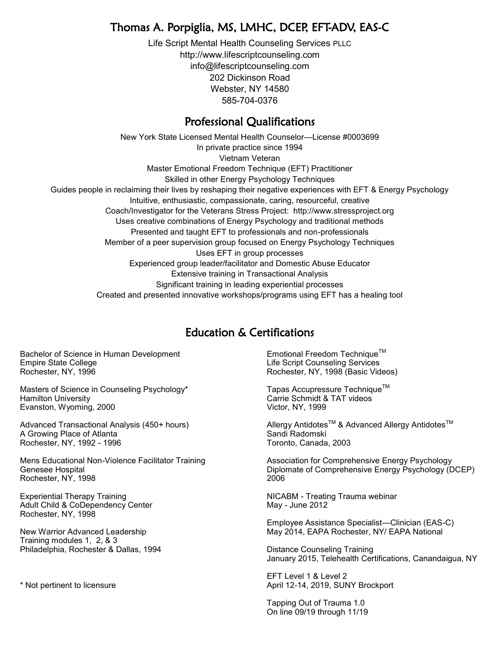## Thomas A. Porpiglia, MS, LMHC, DCEP, EFT-ADV, EAS-C

Life Script Mental Health Counseling Services PLLC http://www.lifescriptcounseling.com info@lifescriptcounseling.com 202 Dickinson Road Webster, NY 14580 585-704-0376

#### Professional Qualifications

New York State Licensed Mental Health Counselor—License #0003699 In private practice since 1994 Vietnam Veteran Master Emotional Freedom Technique (EFT) Practitioner Skilled in other Energy Psychology Techniques Guides people in reclaiming their lives by reshaping their negative experiences with EFT & Energy Psychology Intuitive, enthusiastic, compassionate, caring, resourceful, creative Coach/Investigator for the Veterans Stress Project: http://www.stressproject.org Uses creative combinations of Energy Psychology and traditional methods Presented and taught EFT to professionals and non-professionals Member of a peer supervision group focused on Energy Psychology Techniques Uses EFT in group processes Experienced group leader/facilitator and Domestic Abuse Educator Extensive training in Transactional Analysis Significant training in leading experiential processes Created and presented innovative workshops/programs using EFT has a healing tool

## Education & Certifications

Bachelor of Science in Human Development Empire State College Rochester, NY, 1996

Masters of Science in Counseling Psychology\* Hamilton University Evanston, Wyoming, 2000

Advanced Transactional Analysis (450+ hours) A Growing Place of Atlanta Rochester, NY, 1992 - 1996

Mens Educational Non-Violence Facilitator Training Genesee Hospital Rochester, NY, 1998

Experiential Therapy Training Adult Child & CoDependency Center Rochester, NY, 1998

New Warrior Advanced Leadership Training modules 1, 2, & 3 Philadelphia, Rochester & Dallas, 1994

\* Not pertinent to licensure

Emotional Freedom Technique™ Life Script Counseling Services Rochester, NY, 1998 (Basic Videos)

Tapas Accupressure Technique™ Carrie Schmidt & TAT videos Victor, NY, 1999

Allergy Antidotes<sup>™</sup> & Advanced Allergy Antidotes<sup>™</sup> Sandi Radomski Toronto, Canada, 2003

Association for Comprehensive Energy Psychology Diplomate of Comprehensive Energy Psychology (DCEP) 2006

NICABM - Treating Trauma webinar May - June 2012

Employee Assistance Specialist—Clinician (EAS-C) May 2014, EAPA Rochester, NY/ EAPA National

Distance Counseling Training January 2015, Telehealth Certifications, Canandaigua, NY

EFT Level 1 & Level 2 April 12-14, 2019, SUNY Brockport

Tapping Out of Trauma 1.0 On line 09/19 through 11/19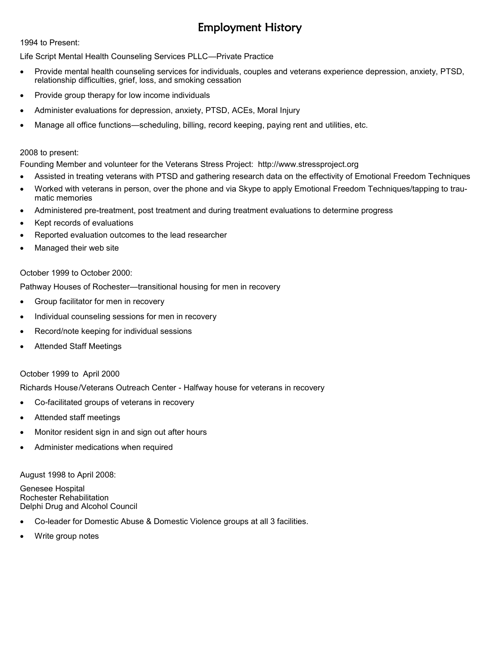# Employment History

1994 to Present:

Life Script Mental Health Counseling Services PLLC—Private Practice

- Provide mental health counseling services for individuals, couples and veterans experience depression, anxiety, PTSD, relationship difficulties, grief, loss, and smoking cessation
- Provide group therapy for low income individuals
- Administer evaluations for depression, anxiety, PTSD, ACEs, Moral Injury
- Manage all office functions—scheduling, billing, record keeping, paying rent and utilities, etc.

#### 2008 to present:

Founding Member and volunteer for the Veterans Stress Project: http://www.stressproject.org

- Assisted in treating veterans with PTSD and gathering research data on the effectivity of Emotional Freedom Techniques
- Worked with veterans in person, over the phone and via Skype to apply Emotional Freedom Techniques/tapping to traumatic memories
- Administered pre-treatment, post treatment and during treatment evaluations to determine progress
- Kept records of evaluations
- Reported evaluation outcomes to the lead researcher
- Managed their web site

#### October 1999 to October 2000:

Pathway Houses of Rochester—transitional housing for men in recovery

- Group facilitator for men in recovery
- Individual counseling sessions for men in recovery
- Record/note keeping for individual sessions
- Attended Staff Meetings

#### October 1999 to April 2000

Richards House/Veterans Outreach Center - Halfway house for veterans in recovery

- Co-facilitated groups of veterans in recovery
- Attended staff meetings
- Monitor resident sign in and sign out after hours
- Administer medications when required

August 1998 to April 2008:

Genesee Hospital Rochester Rehabilitation Delphi Drug and Alcohol Council

- Co-leader for Domestic Abuse & Domestic Violence groups at all 3 facilities.
- Write group notes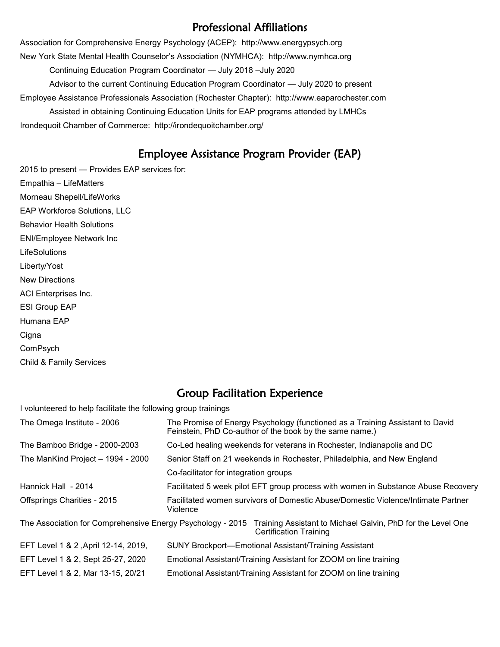#### Professional Affiliations

Association for Comprehensive Energy Psychology (ACEP): http://www.energypsych.org New York State Mental Health Counselor's Association (NYMHCA): http://www.nymhca.org Continuing Education Program Coordinator — July 2018 –July 2020 Advisor to the current Continuing Education Program Coordinator — July 2020 to present Employee Assistance Professionals Association (Rochester Chapter): http://www.eaparochester.com Assisted in obtaining Continuing Education Units for EAP programs attended by LMHCs Irondequoit Chamber of Commerce: http://irondequoitchamber.org/

## Employee Assistance Program Provider (EAP)

2015 to present — Provides EAP services for: Empathia – LifeMatters Morneau Shepell/LifeWorks EAP Workforce Solutions, LLC Behavior Health Solutions ENI/Employee Network Inc **LifeSolutions** Liberty/Yost New Directions ACI Enterprises Inc. ESI Group EAP Humana EAP **Cigna** ComPsych Child & Family Services

## Group Facilitation Experience

I volunteered to help facilitate the following group trainings

| The Omega Institute - 2006          | The Promise of Energy Psychology (functioned as a Training Assistant to David<br>Feinstein, PhD Co-author of the book by the same name.)                |
|-------------------------------------|---------------------------------------------------------------------------------------------------------------------------------------------------------|
| The Bamboo Bridge - 2000-2003       | Co-Led healing weekends for veterans in Rochester, Indianapolis and DC                                                                                  |
| The ManKind Project - 1994 - 2000   | Senior Staff on 21 weekends in Rochester, Philadelphia, and New England                                                                                 |
|                                     | Co-facilitator for integration groups                                                                                                                   |
| Hannick Hall - 2014                 | Facilitated 5 week pilot EFT group process with women in Substance Abuse Recovery                                                                       |
| Offsprings Charities - 2015         | Facilitated women survivors of Domestic Abuse/Domestic Violence/Intimate Partner<br>Violence                                                            |
|                                     | The Association for Comprehensive Energy Psychology - 2015 Training Assistant to Michael Galvin, PhD for the Level One<br><b>Certification Training</b> |
| EFT Level 1 & 2, April 12-14, 2019, | SUNY Brockport—Emotional Assistant/Training Assistant                                                                                                   |
| EFT Level 1 & 2, Sept 25-27, 2020   | Emotional Assistant/Training Assistant for ZOOM on line training                                                                                        |
| EFT Level 1 & 2, Mar 13-15, 20/21   | Emotional Assistant/Training Assistant for ZOOM on line training                                                                                        |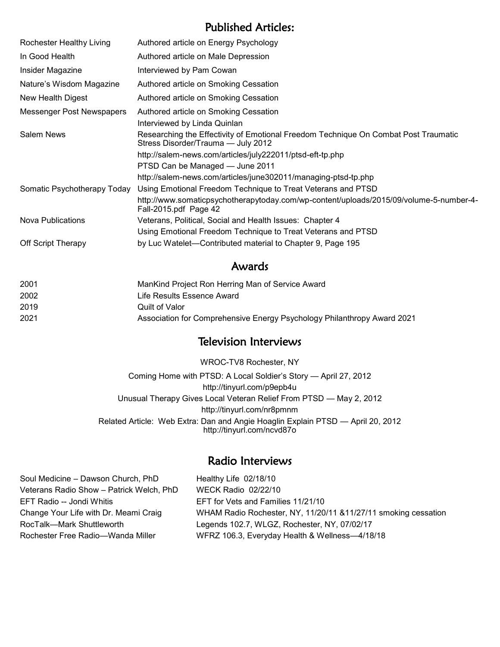### Published Articles:

| Rochester Healthy Living    | Authored article on Energy Psychology                                                                                     |
|-----------------------------|---------------------------------------------------------------------------------------------------------------------------|
| In Good Health              | Authored article on Male Depression                                                                                       |
| Insider Magazine            | Interviewed by Pam Cowan                                                                                                  |
| Nature's Wisdom Magazine    | Authored article on Smoking Cessation                                                                                     |
| New Health Digest           | Authored article on Smoking Cessation                                                                                     |
| Messenger Post Newspapers   | Authored article on Smoking Cessation                                                                                     |
|                             | Interviewed by Linda Quinlan                                                                                              |
| <b>Salem News</b>           | Researching the Effectivity of Emotional Freedom Technique On Combat Post Traumatic<br>Stress Disorder/Trauma - July 2012 |
|                             | http://salem-news.com/articles/july222011/ptsd-eft-tp.php                                                                 |
|                             | PTSD Can be Managed - June 2011                                                                                           |
|                             | http://salem-news.com/articles/june302011/managing-ptsd-tp.php                                                            |
| Somatic Psychotherapy Today | Using Emotional Freedom Technique to Treat Veterans and PTSD                                                              |
|                             | http://www.somaticpsychotherapytoday.com/wp-content/uploads/2015/09/volume-5-number-4-<br>Fall-2015.pdf Page 42           |
| <b>Nova Publications</b>    | Veterans, Political, Social and Health Issues: Chapter 4                                                                  |
|                             | Using Emotional Freedom Technique to Treat Veterans and PTSD                                                              |
| Off Script Therapy          | by Luc Watelet—Contributed material to Chapter 9, Page 195                                                                |

#### Awards

| 2001 | ManKind Project Ron Herring Man of Service Award                        |
|------|-------------------------------------------------------------------------|
| 2002 | Life Results Essence Award                                              |
| 2019 | Quilt of Valor                                                          |
| 2021 | Association for Comprehensive Energy Psychology Philanthropy Award 2021 |

#### Television Interviews

WROC-TV8 Rochester, NY

Coming Home with PTSD: A Local Soldier's Story — April 27, 2012 http://tinyurl.com/p9epb4u Unusual Therapy Gives Local Veteran Relief From PTSD — May 2, 2012 http://tinyurl.com/nr8pmnm Related Article: Web Extra: Dan and Angie Hoaglin Explain PTSD — April 20, 2012 http://tinyurl.com/ncvd87o

#### Radio Interviews

Soul Medicine – Dawson Church, PhD Healthy Life 02/18/10 Veterans Radio Show – Patrick Welch, PhD WECK Radio 02/22/10 EFT Radio -- Jondi Whitis EFT for Vets and Families 11/21/10 RocTalk—Mark Shuttleworth Legends 102.7, WLGZ, Rochester, NY, 07/02/17

Change Your Life with Dr. Meami Craig WHAM Radio Rochester, NY, 11/20/11 &11/27/11 smoking cessation Rochester Free Radio—Wanda Miller WFRZ 106.3, Everyday Health & Wellness-4/18/18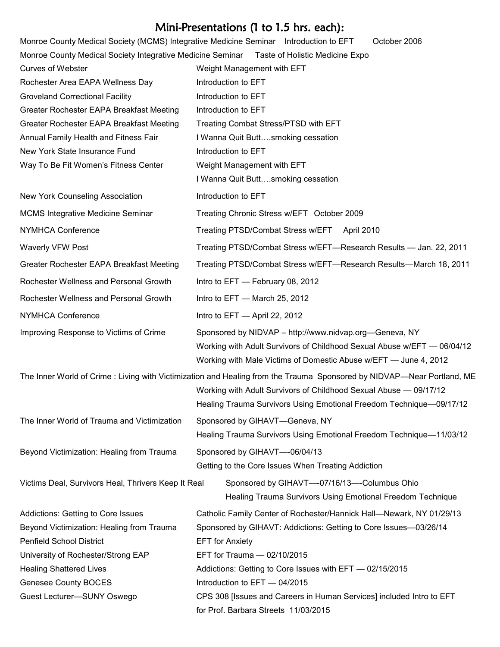# Mini-Presentations (1 to 1.5 hrs. each):

|                                                                                       | <i>I N</i> uni-Presentations (1 to 1.5 nrs. each):                                                                                                                                                                                                                |
|---------------------------------------------------------------------------------------|-------------------------------------------------------------------------------------------------------------------------------------------------------------------------------------------------------------------------------------------------------------------|
| Monroe County Medical Society (MCMS) Integrative Medicine Seminar Introduction to EFT | October 2006                                                                                                                                                                                                                                                      |
| Monroe County Medical Society Integrative Medicine Seminar                            | Taste of Holistic Medicine Expo                                                                                                                                                                                                                                   |
| <b>Curves of Webster</b>                                                              | Weight Management with EFT                                                                                                                                                                                                                                        |
| Rochester Area EAPA Wellness Day                                                      | Introduction to EFT                                                                                                                                                                                                                                               |
| <b>Groveland Correctional Facility</b>                                                | Introduction to EFT                                                                                                                                                                                                                                               |
| Greater Rochester EAPA Breakfast Meeting                                              | Introduction to EFT                                                                                                                                                                                                                                               |
| Greater Rochester EAPA Breakfast Meeting                                              | Treating Combat Stress/PTSD with EFT                                                                                                                                                                                                                              |
| Annual Family Health and Fitness Fair                                                 | I Wanna Quit Buttsmoking cessation                                                                                                                                                                                                                                |
| New York State Insurance Fund                                                         | Introduction to EFT                                                                                                                                                                                                                                               |
| Way To Be Fit Women's Fitness Center                                                  | Weight Management with EFT                                                                                                                                                                                                                                        |
|                                                                                       | I Wanna Quit Buttsmoking cessation                                                                                                                                                                                                                                |
| New York Counseling Association                                                       | Introduction to EFT                                                                                                                                                                                                                                               |
| <b>MCMS Integrative Medicine Seminar</b>                                              | Treating Chronic Stress w/EFT October 2009                                                                                                                                                                                                                        |
| <b>NYMHCA Conference</b>                                                              | Treating PTSD/Combat Stress w/EFT<br>April 2010                                                                                                                                                                                                                   |
| Waverly VFW Post                                                                      | Treating PTSD/Combat Stress w/EFT—Research Results — Jan. 22, 2011                                                                                                                                                                                                |
| Greater Rochester EAPA Breakfast Meeting                                              | Treating PTSD/Combat Stress w/EFT-Research Results-March 18, 2011                                                                                                                                                                                                 |
| Rochester Wellness and Personal Growth                                                | Intro to EFT - February 08, 2012                                                                                                                                                                                                                                  |
| Rochester Wellness and Personal Growth                                                | Intro to EFT - March 25, 2012                                                                                                                                                                                                                                     |
| NYMHCA Conference                                                                     | Intro to EFT - April 22, 2012                                                                                                                                                                                                                                     |
| Improving Response to Victims of Crime                                                | Sponsored by NIDVAP - http://www.nidvap.org-Geneva, NY<br>Working with Adult Survivors of Childhood Sexual Abuse w/EFT - 06/04/12<br>Working with Male Victims of Domestic Abuse w/EFT — June 4, 2012                                                             |
|                                                                                       | The Inner World of Crime: Living with Victimization and Healing from the Trauma Sponsored by NIDVAP—Near Portland, ME<br>Working with Adult Survivors of Childhood Sexual Abuse - 09/17/12<br>Healing Trauma Survivors Using Emotional Freedom Technique-09/17/12 |
| The Inner World of Trauma and Victimization                                           | Sponsored by GIHAVT-Geneva, NY<br>Healing Trauma Survivors Using Emotional Freedom Technique-11/03/12                                                                                                                                                             |
| Beyond Victimization: Healing from Trauma                                             | Sponsored by GIHAVT-06/04/13<br>Getting to the Core Issues When Treating Addiction                                                                                                                                                                                |
| Victims Deal, Survivors Heal, Thrivers Keep It Real                                   | Sponsored by GIHAVT--07/16/13---Columbus Ohio<br>Healing Trauma Survivors Using Emotional Freedom Technique                                                                                                                                                       |
| Addictions: Getting to Core Issues                                                    | Catholic Family Center of Rochester/Hannick Hall-Newark, NY 01/29/13                                                                                                                                                                                              |
| Beyond Victimization: Healing from Trauma                                             | Sponsored by GIHAVT: Addictions: Getting to Core Issues-03/26/14                                                                                                                                                                                                  |
| <b>Penfield School District</b>                                                       | <b>EFT</b> for Anxiety                                                                                                                                                                                                                                            |
| University of Rochester/Strong EAP                                                    | EFT for Trauma - 02/10/2015                                                                                                                                                                                                                                       |
| <b>Healing Shattered Lives</b>                                                        | Addictions: Getting to Core Issues with EFT - 02/15/2015                                                                                                                                                                                                          |
| <b>Genesee County BOCES</b>                                                           | Introduction to EFT - 04/2015                                                                                                                                                                                                                                     |
| Guest Lecturer-SUNY Oswego                                                            | CPS 308 [Issues and Careers in Human Services] included Intro to EFT<br>for Prof. Barbara Streets 11/03/2015                                                                                                                                                      |